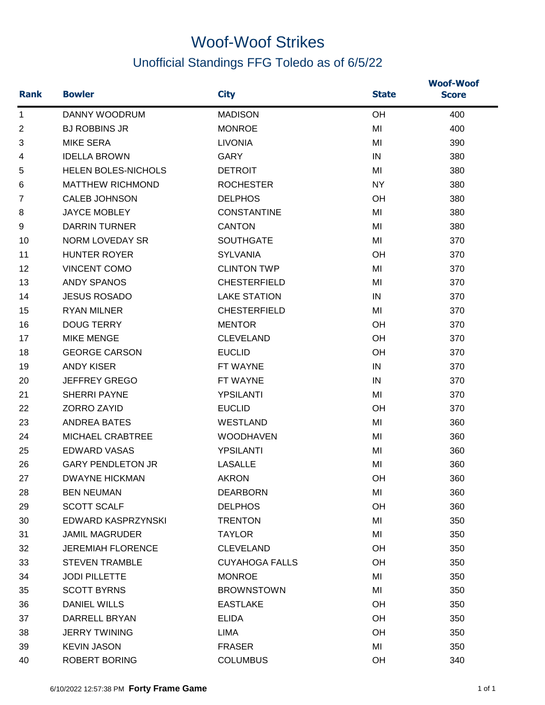## Woof-Woof Strikes Unofficial Standings FFG Toledo as of 6/5/22

| <b>Rank</b>    | <b>Bowler</b>              | <b>City</b>           | <b>State</b> | <b>Woof-Woof</b><br><b>Score</b> |
|----------------|----------------------------|-----------------------|--------------|----------------------------------|
| 1              | <b>DANNY WOODRUM</b>       | <b>MADISON</b>        | OH           | 400                              |
| $\overline{2}$ | <b>BJ ROBBINS JR</b>       | <b>MONROE</b>         | MI           | 400                              |
| 3              | <b>MIKE SERA</b>           | <b>LIVONIA</b>        | MI           | 390                              |
| 4              | <b>IDELLA BROWN</b>        | GARY                  | IN           | 380                              |
| 5              | <b>HELEN BOLES-NICHOLS</b> | <b>DETROIT</b>        | MI           | 380                              |
| 6              | <b>MATTHEW RICHMOND</b>    | <b>ROCHESTER</b>      | <b>NY</b>    | 380                              |
| 7              | <b>CALEB JOHNSON</b>       | <b>DELPHOS</b>        | <b>OH</b>    | 380                              |
| 8              | <b>JAYCE MOBLEY</b>        | <b>CONSTANTINE</b>    | MI           | 380                              |
| 9              | <b>DARRIN TURNER</b>       | <b>CANTON</b>         | MI           | 380                              |
| 10             | <b>NORM LOVEDAY SR</b>     | <b>SOUTHGATE</b>      | MI           | 370                              |
| 11             | <b>HUNTER ROYER</b>        | <b>SYLVANIA</b>       | <b>OH</b>    | 370                              |
| 12             | <b>VINCENT COMO</b>        | <b>CLINTON TWP</b>    | MI           | 370                              |
| 13             | <b>ANDY SPANOS</b>         | <b>CHESTERFIELD</b>   | MI           | 370                              |
| 14             | <b>JESUS ROSADO</b>        | <b>LAKE STATION</b>   | IN           | 370                              |
| 15             | <b>RYAN MILNER</b>         | <b>CHESTERFIELD</b>   | MI           | 370                              |
| 16             | <b>DOUG TERRY</b>          | <b>MENTOR</b>         | OH           | 370                              |
| 17             | <b>MIKE MENGE</b>          | <b>CLEVELAND</b>      | OH           | 370                              |
| 18             | <b>GEORGE CARSON</b>       | <b>EUCLID</b>         | OH           | 370                              |
| 19             | <b>ANDY KISER</b>          | FT WAYNE              | IN           | 370                              |
| 20             | <b>JEFFREY GREGO</b>       | FT WAYNE              | IN           | 370                              |
| 21             | <b>SHERRI PAYNE</b>        | <b>YPSILANTI</b>      | MI           | 370                              |
| 22             | ZORRO ZAYID                | <b>EUCLID</b>         | <b>OH</b>    | 370                              |
| 23             | <b>ANDREA BATES</b>        | <b>WESTLAND</b>       | MI           | 360                              |
| 24             | <b>MICHAEL CRABTREE</b>    | <b>WOODHAVEN</b>      | MI           | 360                              |
| 25             | <b>EDWARD VASAS</b>        | <b>YPSILANTI</b>      | MI           | 360                              |
| 26             | <b>GARY PENDLETON JR</b>   | <b>LASALLE</b>        | MI           | 360                              |
| 27             | <b>DWAYNE HICKMAN</b>      | <b>AKRON</b>          | OH           | 360                              |
| 28             | <b>BEN NEUMAN</b>          | <b>DEARBORN</b>       | MI           | 360                              |
| 29             | <b>SCOTT SCALF</b>         | <b>DELPHOS</b>        | OH           | 360                              |
| 30             | EDWARD KASPRZYNSKI         | <b>TRENTON</b>        | MI           | 350                              |
| 31             | <b>JAMIL MAGRUDER</b>      | <b>TAYLOR</b>         | MI           | 350                              |
| 32             | <b>JEREMIAH FLORENCE</b>   | <b>CLEVELAND</b>      | OH           | 350                              |
| 33             | <b>STEVEN TRAMBLE</b>      | <b>CUYAHOGA FALLS</b> | OH           | 350                              |
| 34             | <b>JODI PILLETTE</b>       | <b>MONROE</b>         | MI           | 350                              |
| 35             | <b>SCOTT BYRNS</b>         | <b>BROWNSTOWN</b>     | MI           | 350                              |
| 36             | <b>DANIEL WILLS</b>        | <b>EASTLAKE</b>       | OH           | 350                              |
| 37             | DARRELL BRYAN              | <b>ELIDA</b>          | OH           | 350                              |
| 38             | <b>JERRY TWINING</b>       | LIMA                  | OH           | 350                              |
| 39             | <b>KEVIN JASON</b>         | <b>FRASER</b>         | MI           | 350                              |
| 40             | ROBERT BORING              | <b>COLUMBUS</b>       | OH           | 340                              |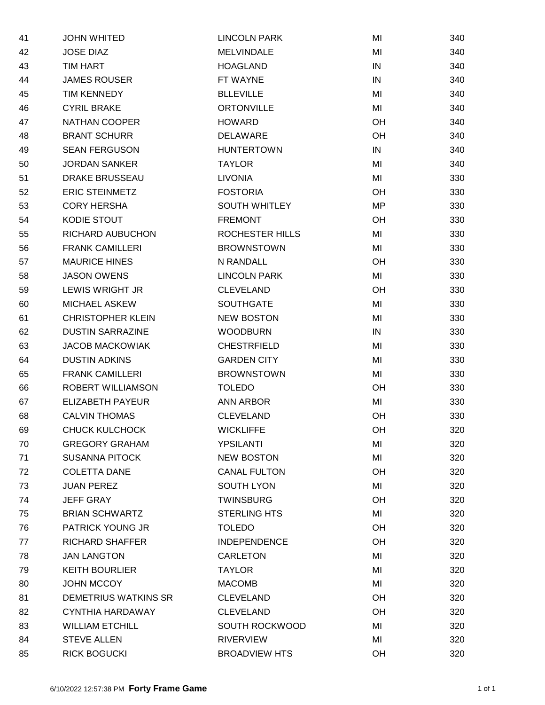| 41 | <b>JOHN WHITED</b>       | <b>LINCOLN PARK</b>  | MI        | 340 |
|----|--------------------------|----------------------|-----------|-----|
| 42 | <b>JOSE DIAZ</b>         | <b>MELVINDALE</b>    | MI        | 340 |
| 43 | <b>TIM HART</b>          | <b>HOAGLAND</b>      | IN        | 340 |
| 44 | <b>JAMES ROUSER</b>      | FT WAYNE             | IN        | 340 |
| 45 | TIM KENNEDY              | <b>BLLEVILLE</b>     | MI        | 340 |
| 46 | <b>CYRIL BRAKE</b>       | <b>ORTONVILLE</b>    | MI        | 340 |
| 47 | <b>NATHAN COOPER</b>     | <b>HOWARD</b>        | <b>OH</b> | 340 |
| 48 | <b>BRANT SCHURR</b>      | <b>DELAWARE</b>      | OH        | 340 |
| 49 | <b>SEAN FERGUSON</b>     | <b>HUNTERTOWN</b>    | IN        | 340 |
| 50 | <b>JORDAN SANKER</b>     | <b>TAYLOR</b>        | MI        | 340 |
| 51 | <b>DRAKE BRUSSEAU</b>    | <b>LIVONIA</b>       | MI        | 330 |
| 52 | <b>ERIC STEINMETZ</b>    | <b>FOSTORIA</b>      | OH        | 330 |
| 53 | <b>CORY HERSHA</b>       | <b>SOUTH WHITLEY</b> | MP        | 330 |
| 54 | KODIE STOUT              | <b>FREMONT</b>       | <b>OH</b> | 330 |
| 55 | RICHARD AUBUCHON         | ROCHESTER HILLS      | MI        | 330 |
| 56 | <b>FRANK CAMILLERI</b>   | <b>BROWNSTOWN</b>    | MI        | 330 |
| 57 | <b>MAURICE HINES</b>     | N RANDALL            | OH        | 330 |
| 58 | <b>JASON OWENS</b>       | <b>LINCOLN PARK</b>  | MI        | 330 |
| 59 | LEWIS WRIGHT JR          | <b>CLEVELAND</b>     | OH        | 330 |
| 60 | <b>MICHAEL ASKEW</b>     | <b>SOUTHGATE</b>     | MI        | 330 |
| 61 | <b>CHRISTOPHER KLEIN</b> | <b>NEW BOSTON</b>    | MI        | 330 |
| 62 | <b>DUSTIN SARRAZINE</b>  | <b>WOODBURN</b>      | IN        | 330 |
| 63 | <b>JACOB MACKOWIAK</b>   | <b>CHESTRFIELD</b>   | MI        | 330 |
| 64 | <b>DUSTIN ADKINS</b>     | <b>GARDEN CITY</b>   | MI        | 330 |
| 65 | <b>FRANK CAMILLERI</b>   | <b>BROWNSTOWN</b>    | MI        | 330 |
| 66 | <b>ROBERT WILLIAMSON</b> | <b>TOLEDO</b>        | <b>OH</b> | 330 |
| 67 | <b>ELIZABETH PAYEUR</b>  | <b>ANN ARBOR</b>     | MI        | 330 |
| 68 | <b>CALVIN THOMAS</b>     | <b>CLEVELAND</b>     | OH        | 330 |
| 69 | <b>CHUCK KULCHOCK</b>    | <b>WICKLIFFE</b>     | OH        | 320 |
| 70 | <b>GREGORY GRAHAM</b>    | YPSILANTI            | MI        | 320 |
| 71 | <b>SUSANNA PITOCK</b>    | <b>NEW BOSTON</b>    | MI        | 320 |
| 72 | <b>COLETTA DANE</b>      | <b>CANAL FULTON</b>  | OH        | 320 |
| 73 | <b>JUAN PEREZ</b>        | <b>SOUTH LYON</b>    | MI        | 320 |
| 74 | <b>JEFF GRAY</b>         | <b>TWINSBURG</b>     | OH        | 320 |
| 75 | <b>BRIAN SCHWARTZ</b>    | <b>STERLING HTS</b>  | MI        | 320 |
| 76 | PATRICK YOUNG JR         | <b>TOLEDO</b>        | OH        | 320 |
| 77 | <b>RICHARD SHAFFER</b>   | <b>INDEPENDENCE</b>  | OH        | 320 |
| 78 | <b>JAN LANGTON</b>       | CARLETON             | MI        | 320 |
| 79 | <b>KEITH BOURLIER</b>    | <b>TAYLOR</b>        | MI        | 320 |
| 80 | <b>JOHN MCCOY</b>        | <b>MACOMB</b>        | MI        | 320 |
| 81 | DEMETRIUS WATKINS SR     | <b>CLEVELAND</b>     | OH        | 320 |
| 82 | CYNTHIA HARDAWAY         | <b>CLEVELAND</b>     | OH        | 320 |
| 83 | <b>WILLIAM ETCHILL</b>   | SOUTH ROCKWOOD       | MI        | 320 |
| 84 | <b>STEVE ALLEN</b>       | <b>RIVERVIEW</b>     | MI        | 320 |
| 85 | <b>RICK BOGUCKI</b>      | <b>BROADVIEW HTS</b> | OH        | 320 |